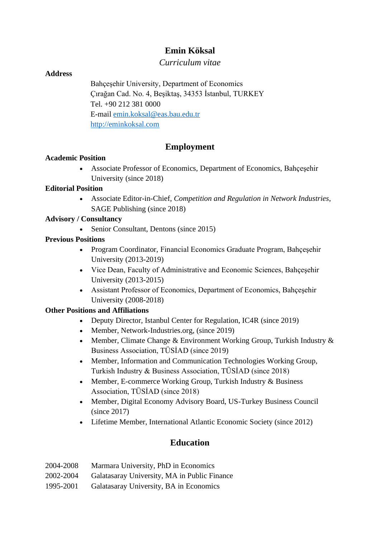# **Emin Köksal**

# *Curriculum vitae*

# **Address**

Bahçeşehir University, Department of Economics Çırağan Cad. No. 4, Beşiktaş, 34353 İstanbul, TURKEY Tel. +90 212 381 0000 E-mail [emin.koksal@eas.bau.edu.tr](mailto:emin.koksal@eas.bau.edu.tr) [http://eminkoksal.com](http://eminkoksal.com/)

# **Employment**

# **Academic Position**

• Associate Professor of Economics, Department of Economics, Bahçeşehir University (since 2018)

#### **Editorial Position**

• Associate Editor-in-Chief, *Competition and Regulation in Network Industries*, SAGE Publishing (since 2018)

#### **Advisory / Consultancy**

• Senior Consultant, Dentons (since 2015)

# **Previous Positions**

- Program Coordinator, Financial Economics Graduate Program, Bahçeşehir University (2013-2019)
- Vice Dean, Faculty of Administrative and Economic Sciences, Bahcesehir University (2013-2015)
- Assistant Professor of Economics, Department of Economics, Bahçeşehir University (2008-2018)

# **Other Positions and Affiliations**

- Deputy Director, Istanbul Center for Regulation, IC4R (since 2019)
- Member, Network-Industries.org, (since 2019)
- Member, Climate Change & Environment Working Group, Turkish Industry & Business Association, TÜSİAD (since 2019)
- Member, Information and Communication Technologies Working Group, Turkish Industry & Business Association, TÜSİAD (since 2018)
- Member, E-commerce Working Group, Turkish Industry & Business Association, TÜSİAD (since 2018)
- Member, Digital Economy Advisory Board, US-Turkey Business Council (since 2017)
- Lifetime Member, International Atlantic Economic Society (since 2012)

# **Education**

| 2004-2008 | Marmara University, PhD in Economics         |
|-----------|----------------------------------------------|
| 2002-2004 | Galatasaray University, MA in Public Finance |
| 1995-2001 | Galatasaray University, BA in Economics      |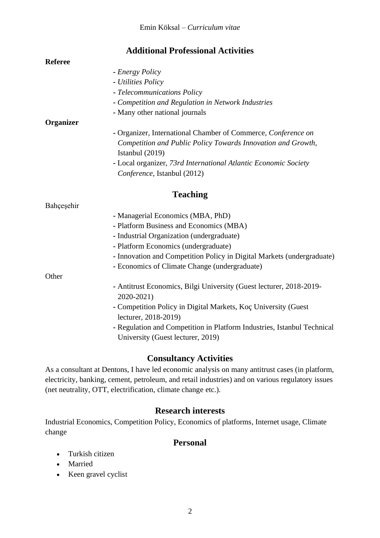# **Additional Professional Activities**

#### **Referee**

#### **-** *Energy Policy*

- **-** *Utilities Policy*
- **-** *Telecommunications Policy*
- **-** *Competition and Regulation in Network Industries*
- **-** Many other national journals

#### **Organizer**

- **-** Organizer, International Chamber of Commerce, *Conference on Competition and Public Policy Towards Innovation and Growth,* Istanbul (2019)
- **-** Local organizer, *73rd International Atlantic Economic Society Conference*, Istanbul (2012)

# **Teaching**

#### Bahçeşehir

- **-** Managerial Economics (MBA, PhD)
- **-** Platform Business and Economics (MBA)
- **-** Industrial Organization (undergraduate)
- **-** Platform Economics (undergraduate)
- **-** Innovation and Competition Policy in Digital Markets (undergraduate)
- **-** Economics of Climate Change (undergraduate)

**Other** 

- **-** Antitrust Economics, Bilgi University (Guest lecturer, 2018-2019- 2020-2021)
- **-** Competition Policy in Digital Markets, Koç University (Guest lecturer, 2018-2019)
- **-** Regulation and Competition in Platform Industries, Istanbul Technical University (Guest lecturer, 2019)

# **Consultancy Activities**

As a consultant at Dentons, I have led economic analysis on many antitrust cases (in platform, electricity, banking, cement, petroleum, and retail industries) and on various regulatory issues (net neutrality, OTT, electrification, climate change etc.).

# **Research interests**

Industrial Economics, Competition Policy, Economics of platforms, Internet usage, Climate change

# **Personal**

- Turkish citizen
- Married
- Keen gravel cyclist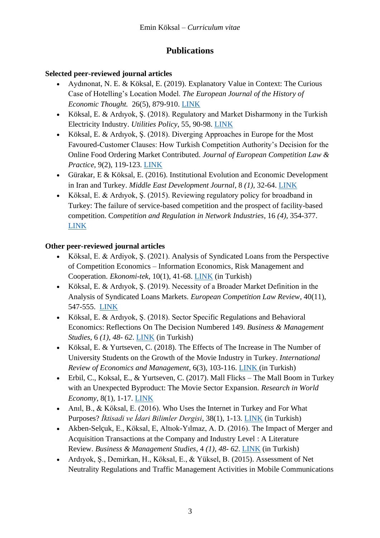# **Publications**

# **Selected peer-reviewed journal articles**

- Aydınonat, N. E. & Köksal, E. (2019). Explanatory Value in Context: The Curious Case of Hotelling's Location Model. *The European Journal of the History of Economic Thought.* 26(5), 879-910. [LINK](https://doi.org/10.1080/09672567.2019.1626460)
- Köksal, E. & Ardıyok, Ş. (2018). Regulatory and Market Disharmony in the Turkish Electricity Industry. *Utilities Policy*, 55, 90-98. [LINK](https://doi.org/10.1016/j.jup.2018.10.001)
- Köksal, E. & Ardıyok, Ş. (2018). Diverging Approaches in Europe for the Most Favoured-Customer Clauses: How Turkish Competition Authority's Decision for the Online Food Ordering Market Contributed. *Journal of European Competition Law & Practice*, 9(2), 119-123. [LINK](http://doi.org/10.1093/jeclap/lpx091)
- Gürakar, E & Köksal, E. (2016). Institutional Evolution and Economic Development in Iran and Turkey. *Middle East Development Journal*, 8 *(1),* 32-64. [LINK](https://doi.org/10.1080/17938120.2016.1150008)
- Köksal, E. & Ardıyok, Ş. (2015). Reviewing regulatory policy for broadband in Turkey: The failure of service-based competition and the prospect of facility-based competition. C*ompetition and Regulation in Network Industries*, 16 *(4),* 354-377. [LINK](https://doi.org/10.1177/178359171501600403)

# **Other peer-reviewed journal articles**

- Köksal, E. & Ardiyok, Ş. (2021). Analysis of Syndicated Loans from the Perspective of Competition Economics – Information Economics, Risk Management and Cooperation. *Ekonomi-tek*, 10(1), 41-68. [LINK](https://dergipark.org.tr/en/download/article-file/1882322) (in Turkish)
- Köksal, E. & Ardıyok, Ş. (2019). Necessity of a Broader Market Definition in the Analysis of Syndicated Loans Markets. *European Competition Law Review*, 40(11), 547-555. [LINK](https://dx.doi.org/10.2139/ssrn.3365828)
- Köksal, E. & Ardıyok, Ş. (2018). Sector Specific Regulations and Behavioral Economics: Reflections On The Decision Numbered 149. *Business & Management Studies*, 6 *(1), 48- 62*. [LINK](https://doi.org/10.15295/bmij.v6i1.210) (in Turkish)
- Köksal, E. & Yurtseven, C. (2018). The Effects of The Increase in The Number of University Students on the Growth of the Movie Industry in Turkey. *International Review of Economics and Management*, 6(3), 103-116. [LINK](https://dergipark.org.tr/en/pub/iremjournal/issue/36428/454405) (in Turkish)
- Erbil, C., Koksal, E., & Yurtseven, C. (2017). Mall Flicks The Mall Boom in Turkey with an Unexpected Byproduct: The Movie Sector Expansion. *Research in World Economy*, 8(1), 1-17. [LINK](https://doi.org/10.5430/rwe.v8n1p1)
- Anıl, B., & Köksal, E. (2016). Who Uses the Internet in Turkey and For What Purposes? *İktisadi ve İdari Bilimler Dergisi*, 38(1), 1-13. [LINK](http://doi.org/10.14780/iibd.61602) (in Turkish)
- Akben-Selçuk, E., Köksal, E, Altıok-Yılmaz, A. D. (2016). The Impact of Merger and Acquisition Transactions at the Company and Industry Level : A Literature Review. *Business & Management Studies*, 4 *(1), 48- 62*. [LINK](https://doi.org/10.15295/bmij.v4i1.132) (in Turkish)
- Ardıyok, Ş., Demirkan, H., Köksal, E., & Yüksel, B. (2015). Assessment of Net Neutrality Regulations and Traffic Management Activities in Mobile Communications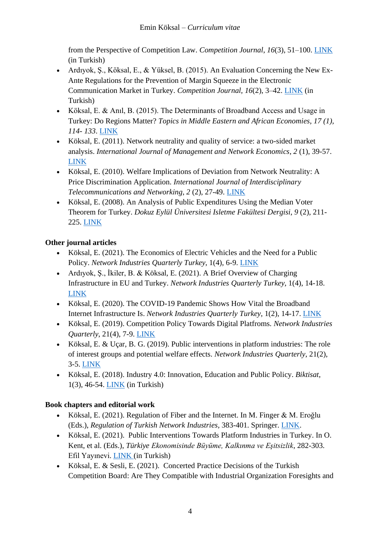from the Perspective of Competition Law. *Competition Journal*, *16*(3), 51–100. [LINK](http://eds.a.ebscohost.com/eds/detail/detail?vid=0&sid=1116f5bb-af88-4197-a848-5be788907a93%40sdc-v-sessmgr01&bdata=JnNpdGU9ZWRzLWxpdmU%3d#AN=118111283&db=bth) (in Turkish)

- Ardıyok, Ş., Köksal, E., & Yüksel, B. (2015). An Evaluation Concerning the New Ex-Ante Regulations for the Prevention of Margin Squeeze in the Electronic Communication Market in Turkey. *Competition Journal, 16*(2), 3–42. [LINK](http://eds.a.ebscohost.com/eds/detail/detail?vid=0&sid=17e03ba7-2ace-4cec-bcd0-6465c42fb027%40sessionmgr4006&bdata=JnNpdGU9ZWRzLWxpdmU%3d#AN=118111279&db=bth) (in Turkish)
- Köksal, E. & Anıl, B. (2015). The Determinants of Broadband Access and Usage in Turkey: Do Regions Matter? *Topics in Middle Eastern and African Economies, 17 (1), 114- 133*. [LINK](https://ecommons.luc.edu/meea/210/)
- Köksal, E. (2011). Network neutrality and quality of service: a two-sided market analysis. *International Journal of Management and Network Economics*, *2* (1), 39-57. [LINK](https://dx.doi.org/10.1504/IJMNE.2011.042579)
- Köksal, E. (2010). Welfare Implications of Deviation from Network Neutrality: A Price Discrimination Application. *International Journal of Interdisciplinary Telecommunications and Networking*, *2* (2), 27-49. [LINK](https://doi.org/10.4018/jitn.2010040102)
- Köksal, E. (2008). An Analysis of Public Expenditures Using the Median Voter Theorem for Turkey. *Dokuz Eylül Üniversitesi Isletme Fakültesi Dergisi*, *9* (2), 211- 225. [LINK](https://dergipark.org.tr/en/pub/ifede/issue/4597/62843)

# **Other journal articles**

- Köksal, E. (2021). The Economics of Electric Vehicles and the Need for a Public Policy. *Network Industries Quarterly Turkey*, 1(4), 6-9. [LINK](https://papers.ssrn.com/sol3/papers.cfm?abstract_id=3869739)
- Ardıyok, Ş., İkiler, B. & Köksal, E. (2021). A Brief Overview of Charging Infrastructure in EU and Turkey. *Network Industries Quarterly Turkey*, 1(4), 14-18. [LINK](https://papers.ssrn.com/sol3/papers.cfm?abstract_id=3869746)
- Köksal, E. (2020). The COVID-19 Pandemic Shows How Vital the Broadband Internet Infrastructure Is. *Network Industries Quarterly Turkey*, 1(2), 14-17. [LINK](https://papers.ssrn.com/sol3/papers.cfm?abstract_id=3755169)
- Köksal, E. (2019). Competition Policy Towards Digital Platfroms. *Network Industries Quarterly*, 21(4), 7-9. [LINK](https://www.network-industries.org/wp-content/uploads/2019/12/Competition-Policy-Towards-Digital-Platforms.pdf)
- Köksal, E. & Uçar, B. G. (2019). Public interventions in platform industries: The role of interest groups and potential welfare effects. *Network Industries Quarterly*, 21(2), 3-5. [LINK](https://www.network-industries.org/wp-content/uploads/2019/07/Public-interventions-in-platform-industries-The-role-of-interest-groups-and-potential-welfare-effects.pdf)
- Köksal, E. (2018). Industry 4.0: Innovation, Education and Public Policy. *Biktisat*, 1(3), 46-54. [LINK](https://papers.ssrn.com/sol3/papers.cfm?abstract_id=3597416) (in Turkish)

# **Book chapters and editorial work**

- Köksal, E. (2021). Regulation of Fiber and the Internet. In M. Finger & M. Eroğlu (Eds.), *Regulation of Turkish Network Industries,* 383-401. Springer. [LINK.](https://doi.org/10.1007/978-3-030-81720-6_19)
- Köksal, E. (2021). Public Interventions Towards Platform Industries in Turkey. In O. Kent, et al. (Eds.), *Türkiye Ekonomisinde Büyüme, Kalkınma ve Eşitsizlik*, 282-303. Efil Yayınevi. [LINK](https://efilyayinevi.com/urun/turkiye-ekonomisinde-buyume-kalkinma-ve-esitsizlik-a-suut-dogruele-armagan/) (in Turkish)
- Köksal, E. & Sesli, E. (2021). Concerted Practice Decisions of the Turkish Competition Board: Are They Compatible with Industrial Organization Foresights and